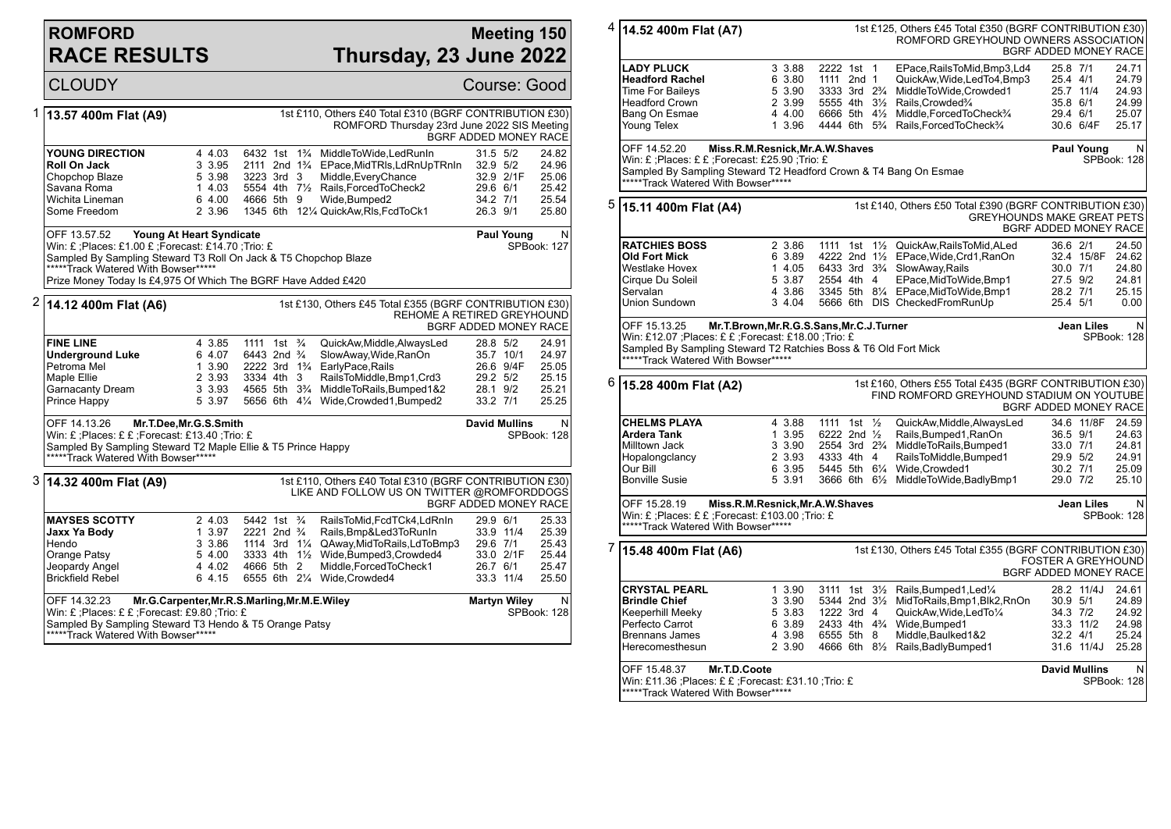## **ROMFORD RACE RESULTS**

## **Meeting 150 Thursday, 23 June 2022**

|   | <b>CLOUDY</b>                                                                                                                                                                                                                                                                                                    |                                                          |                                                                                                                |  |  |                                                                                                                                                                                                                                                                                    |                                                          | Course: Good                                               |                                                    |
|---|------------------------------------------------------------------------------------------------------------------------------------------------------------------------------------------------------------------------------------------------------------------------------------------------------------------|----------------------------------------------------------|----------------------------------------------------------------------------------------------------------------|--|--|------------------------------------------------------------------------------------------------------------------------------------------------------------------------------------------------------------------------------------------------------------------------------------|----------------------------------------------------------|------------------------------------------------------------|----------------------------------------------------|
| 1 | 13.57 400m Flat (A9)                                                                                                                                                                                                                                                                                             |                                                          |                                                                                                                |  |  | 1st £110, Others £40 Total £310 (BGRF CONTRIBUTION £30)<br>ROMFORD Thursday 23rd June 2022 SIS Meeting<br><b>BGRF ADDED MONEY RACE</b>                                                                                                                                             |                                                          |                                                            |                                                    |
|   | YOUNG DIRECTION<br>Roll On Jack<br>Chopchop Blaze<br>Savana Roma<br>Wichita Lineman<br>Some Freedom                                                                                                                                                                                                              | 4 4.03<br>3 3.95<br>5 3.98<br>14.03<br>6 4.00<br>2 3.96  | 3223 3rd 3<br>4666 5th 9                                                                                       |  |  | 6432 1st 1 <sup>3</sup> / <sub>4</sub> MiddleToWide, Led Run In<br>2111 2nd 1 <sup>3</sup> / <sub>4</sub> EPace, Mid TRIs, Ld Rn Up TRn In<br>Middle, Every Chance<br>5554 4th 71/ <sub>2</sub> Rails. Forced To Check 2<br>Wide, Bumped2<br>1345 6th 121/4 QuickAw, RIs, FcdToCk1 | 31.5 5/2<br>32.9 5/2<br>29.6 6/1<br>34.2 7/1<br>26.3 9/1 | 32.9 2/1F                                                  | 24.82<br>24.96<br>25.06<br>25.42<br>25.54<br>25.80 |
|   | OFF 13.57.52<br>Young At Heart Syndicate<br><b>Paul Young</b><br>SPBook: 127<br>Win: £ : Places: £1.00 £ : Forecast: £14.70 : Trio: £<br>Sampled By Sampling Steward T3 Roll On Jack & T5 Chopchop Blaze<br>*****Track Watered With Bowser*****<br>Prize Money Today Is £4,975 Of Which The BGRF Have Added £420 |                                                          |                                                                                                                |  |  |                                                                                                                                                                                                                                                                                    |                                                          |                                                            |                                                    |
| 2 | 1st £130, Others £45 Total £355 (BGRF CONTRIBUTION £30)<br>14.12 400m Flat (A6)<br>REHOME A RETIRED GREYHOUND<br><b>BGRF ADDED MONEY RACE</b>                                                                                                                                                                    |                                                          |                                                                                                                |  |  |                                                                                                                                                                                                                                                                                    |                                                          |                                                            |                                                    |
|   | <b>FINE LINE</b><br><b>Underground Luke</b><br>Petroma Mel<br>Maple Ellie<br>Garnacanty Dream<br>Prince Happy                                                                                                                                                                                                    | 4 3.85<br>6 4.07<br>1 3.90<br>2 3.93<br>3 3.93<br>5 3.97 | 1111 1st <sup>3</sup> / <sub>4</sub><br>6443 2nd <sup>3</sup> / <sub>4</sub><br>3334 4th 3                     |  |  | QuickAw, Middle, AlwaysLed<br>SlowAway,Wide,RanOn<br>2222 3rd 1 <sup>3</sup> / <sub>4</sub> EarlyPace, Rails<br>RailsToMiddle,Bmp1,Crd3<br>4565 5th 3 <sup>3</sup> / <sub>4</sub> MiddleToRails, Bumped 1&2<br>5656 6th 41/4 Wide, Crowded 1, Bumped 2                             | 28.8 5/2<br>29.2 5/2<br>28.1 9/2<br>33.2 7/1             | 35.7 10/1<br>26.6 9/4F                                     | 24.91<br>24.97<br>25.05<br>25.15<br>25.21<br>25.25 |
|   | OFF 14.13.26<br>Mr.T.Dee, Mr.G.S.Smith<br><b>David Mullins</b><br>Win: £; Places: £ £; Forecast: £13.40; Trio: £<br>SPBook: 128<br>Sampled By Sampling Steward T2 Maple Ellie & T5 Prince Happy<br>*****Track Watered With Bowser*****                                                                           |                                                          |                                                                                                                |  |  |                                                                                                                                                                                                                                                                                    |                                                          |                                                            | N                                                  |
|   | 3  14.32 400m Flat (A9)                                                                                                                                                                                                                                                                                          |                                                          |                                                                                                                |  |  | 1st £110, Others £40 Total £310 (BGRF CONTRIBUTION £30)<br>LIKE AND FOLLOW US ON TWITTER @ROMFORDDOGS<br>BGRF ADDED MONEY RACE                                                                                                                                                     |                                                          |                                                            |                                                    |
|   | <b>MAYSES SCOTTY</b><br>Jaxx Ya Body<br>Hendo<br>Orange Patsy<br>Jeopardy Angel<br><b>Brickfield Rebel</b><br>OFF 14.32.23                                                                                                                                                                                       | 2 4.03<br>1 3.97<br>3 3.86<br>5 4.00<br>4 4.02<br>6 4.15 | 5442 1st 3/4<br>2221 2nd <sup>3</sup> / <sub>4</sub><br>1114 3rd $1\frac{1}{4}$<br>3333 4th 11/2<br>4666 5th 2 |  |  | RailsToMid,FcdTCk4,LdRnIn<br>Rails, Bmp&Led3ToRunIn<br>QAway, Mid To Rails, Ld To Bmp3<br>Wide, Bumped3, Crowded4<br>Middle, Forced To Check1<br>6555 6th 21/4 Wide, Crowded4                                                                                                      | 29.9 6/1<br>29.6 7/1<br>26.7 6/1                         | 33.9 11/4<br>33.0 2/1F<br>33.3 11/4<br><b>Martyn Wiley</b> | 25.33<br>25.39<br>25.43<br>25.44<br>25.47<br>25.50 |
|   | Mr.G.Carpenter, Mr.R.S.Marling, Mr.M.E.Wiley<br>Win: £ ; Places: £ £ ; Forecast: £9.80 ; Trio: £<br>Sampled By Sampling Steward T3 Hendo & T5 Orange Patsy<br>*****Track Watered With Bowser*****                                                                                                                |                                                          |                                                                                                                |  |  |                                                                                                                                                                                                                                                                                    |                                                          |                                                            | N<br>SPBook: 128                                   |

|   |                                                                                                                                                                               |                                                          |                                                                                      | 1st £125, Others £45 Total £350 (BGRF CONTRIBUTION £30)<br>ROMFORD GREYHOUND OWNERS ASSOCIATION                                                                                                                                                                                        | BGRF ADDED MONEY RACE                                                                                                           |
|---|-------------------------------------------------------------------------------------------------------------------------------------------------------------------------------|----------------------------------------------------------|--------------------------------------------------------------------------------------|----------------------------------------------------------------------------------------------------------------------------------------------------------------------------------------------------------------------------------------------------------------------------------------|---------------------------------------------------------------------------------------------------------------------------------|
|   | <b>LADY PLUCK</b><br><b>Headford Rachel</b><br>Time For Baileys<br><b>Headford Crown</b><br>Bang On Esmae<br>Young Telex                                                      | 3 3.88<br>6 3.80<br>5 3.90<br>2 3.99<br>4 4.00<br>1 3.96 | 2222 1st 1<br>1111 2nd 1                                                             | EPace.RailsToMid.Bmp3.Ld4<br>QuickAw, Wide, LedTo4, Bmp3<br>3333 3rd 2% MiddleToWide, Crowded1<br>5555 4th 31/2 Rails.Crowded <sup>3</sup> /4<br>6666 5th 41/2 Middle, Forced To Check3/4<br>4444 6th 5 <sup>3</sup> / <sub>4</sub> Rails, Forced To Check <sup>3</sup> / <sub>4</sub> | 25.8 7/1<br>24.71<br>25.4 4/1<br>24.79<br>24.93<br>25.7 11/4<br>35.8 6/1<br>24.99<br>29.4 6/1<br>25.07<br>30.6 6/4F<br>25.17    |
|   | OFF 14.52.20<br>Win: £ ;Places: £ £ ;Forecast: £25.90 ;Trio: £<br>Sampled By Sampling Steward T2 Headford Crown & T4 Bang On Esmae<br>*****Track Watered With Bowser*****     |                                                          | Miss.R.M.Resnick, Mr.A.W.Shaves                                                      |                                                                                                                                                                                                                                                                                        | N<br><b>Paul Young</b><br>SPBook: 128                                                                                           |
| 5 | 15.11 400m Flat (A4)                                                                                                                                                          |                                                          |                                                                                      | 1st £140, Others £50 Total £390 (BGRF CONTRIBUTION £30)                                                                                                                                                                                                                                | <b>GREYHOUNDS MAKE GREAT PETS</b><br>BGRF ADDED MONEY RACE                                                                      |
|   | <b>RATCHIES BOSS</b><br>Old Fort Mick<br>Westlake Hovex<br>Cirque Du Soleil<br>Servalan<br>Union Sundown                                                                      | 2 3.86<br>6 3.89<br>1 4.05<br>5 3.87<br>4 3.86<br>3 4.04 | 2554 4th 4                                                                           | 1111 1st 11/2 QuickAw.RailsToMid.ALed<br>4222 2nd 11/2 EPace, Wide, Crd1, RanOn<br>6433 3rd 3 <sup>3</sup> / <sub>4</sub> SlowAway, Rails<br>EPace, MidToWide, Bmp1<br>3345 5th 81/4 EPace, MidToWide, Bmp1<br>5666 6th DIS CheckedFromRunUp                                           | 36.6 2/1<br>24.50<br>32.4 15/8F<br>24.62<br>30.0 7/1<br>24.80<br>27.5 9/2<br>24.81<br>28.2 7/1<br>25.15<br>25.4 5/1<br>0.00     |
|   | OFF 15.13.25<br>Win: £12.07 ;Places: £ £ ;Forecast: £18.00 ;Trio: £<br>Sampled By Sampling Steward T2 Ratchies Boss & T6 Old Fort Mick<br>*****Track Watered With Bowser***** |                                                          | Mr.T.Brown, Mr.R.G.S.Sans, Mr.C.J.Turner                                             |                                                                                                                                                                                                                                                                                        | Jean Liles<br>N<br>SPBook: 128                                                                                                  |
| 6 | 15.28 400m Flat (A2)                                                                                                                                                          |                                                          |                                                                                      | 1st £160, Others £55 Total £435 (BGRF CONTRIBUTION £30)<br>FIND ROMFORD GREYHOUND STADIUM ON YOUTUBE                                                                                                                                                                                   | <b>BGRF ADDED MONEY RACE</b>                                                                                                    |
|   | <b>CHELMS PLAYA</b><br>Ardera Tank<br>Milltown Jack<br>Hopalongclancy<br>Our Bill<br><b>Bonville Susie</b>                                                                    | 4 3.88<br>1 3.95<br>3 3.90<br>2 3.93<br>6 3.95<br>5 3.91 | 1111 1st 1/2<br>6222 2nd 1/2<br>2554 3rd 2 <sup>3</sup> / <sub>4</sub><br>4333 4th 4 | QuickAw, Middle, AlwaysLed<br>Rails, Bumped 1, RanOn<br>MiddleToRails, Bumped1<br>RailsToMiddle, Bumped1<br>5445 5th 61/4 Wide.Crowded1<br>3666 6th 61/ <sub>2</sub> MiddleToWide, Badly Bmp1                                                                                          | 34.6 11/8F<br>24.59<br>36.5 9/1<br>24.63<br>33.0 7/1<br>24.81<br>29.9 5/2<br>24.91<br>30.2 7/1<br>25.09<br>29.0 7/2<br>25.10    |
|   | OFF 15.28.19<br>Miss.R.M.Resnick, Mr.A.W.Shaves<br>Win: £ ;Places: £ £ ;Forecast: £103.00 ;Trio: £<br>*****Track Watered With Bowser*****                                     | N<br>Jean Liles<br>SPBook: 128                           |                                                                                      |                                                                                                                                                                                                                                                                                        |                                                                                                                                 |
| 7 | 15.48 400m Flat (A6)                                                                                                                                                          |                                                          |                                                                                      | 1st £130, Others £45 Total £355 (BGRF CONTRIBUTION £30)                                                                                                                                                                                                                                | <b>FOSTER A GREYHOUND</b><br>BGRF ADDED MONEY RACE                                                                              |
|   | <b>CRYSTAL PEARL</b><br><b>Brindle Chief</b><br>Keeperhill Meeky<br>Perfecto Carrot<br><b>Brennans James</b><br>Herecomesthesun                                               | 1 3.90<br>3 3.90<br>5 3.83<br>6 3.89<br>4 3.98<br>2 3.90 | 1222 3rd 4<br>6555 5th 8                                                             | 3111 1st 31/2 Rails, Bumped 1, Led <sup>1</sup> / <sub>4</sub><br>5344 2nd 31/ <sub>2</sub> MidToRails, Bmp1, Blk2, RnOn<br>QuickAw, Wide, LedTo1/4<br>2433 4th 4 <sup>3</sup> / <sub>4</sub> Wide, Bumped 1<br>Middle, Baulked 1&2<br>4666 6th 81/2 Rails, Badly Bumped 1             | 28.2 11/4J<br>24.61<br>30.9 5/1<br>24.89<br>34.3 7/2<br>24.92<br>33.3 11/2<br>24.98<br>32.2 4/1<br>25.24<br>31.6 11/4J<br>25.28 |
|   | OFF 15.48.37<br>Mr.T.D.Coote<br>Win: £11.36 ;Places: £ £ ;Forecast: £31.10 ;Trio: £<br>*****Track Watered With Bowser*****                                                    |                                                          |                                                                                      |                                                                                                                                                                                                                                                                                        | <b>David Mullins</b><br>N<br>SPBook: 128                                                                                        |